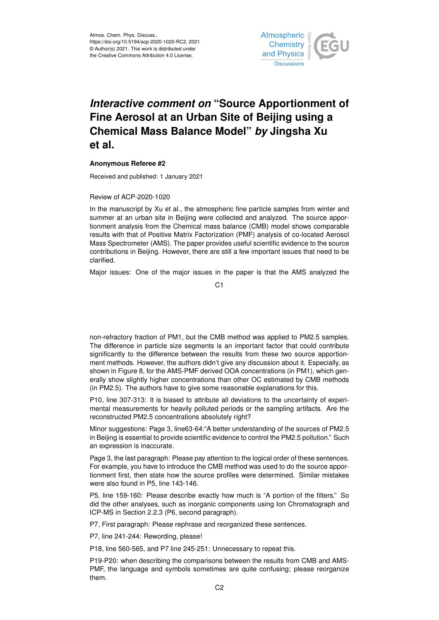

## *Interactive comment on* **"Source Apportionment of Fine Aerosol at an Urban Site of Beijing using a Chemical Mass Balance Model"** *by* **Jingsha Xu et al.**

## **Anonymous Referee #2**

Received and published: 1 January 2021

## Review of ACP-2020-1020

In the manuscript by Xu et al., the atmospheric fine particle samples from winter and summer at an urban site in Beijing were collected and analyzed. The source apportionment analysis from the Chemical mass balance (CMB) model shows comparable results with that of Positive Matrix Factorization (PMF) analysis of co-located Aerosol Mass Spectrometer (AMS). The paper provides useful scientific evidence to the source contributions in Beijing. However, there are still a few important issues that need to be clarified.

Major issues: One of the major issues in the paper is that the AMS analyzed the

C1

non-refractory fraction of PM1, but the CMB method was applied to PM2.5 samples. The difference in particle size segments is an important factor that could contribute significantly to the difference between the results from these two source apportionment methods. However, the authors didn't give any discussion about it. Especially, as shown in Figure 8, for the AMS-PMF derived OOA concentrations (in PM1), which generally show slightly higher concentrations than other OC estimated by CMB methods (in PM2.5). The authors have to give some reasonable explanations for this.

P10, line 307-313: It is biased to attribute all deviations to the uncertainty of experimental measurements for heavily polluted periods or the sampling artifacts. Are the reconstructed PM2.5 concentrations absolutely right?

Minor suggestions: Page 3, line63-64:"A better understanding of the sources of PM2.5 in Beijing is essential to provide scientific evidence to control the PM2.5 pollution." Such an expression is inaccurate.

Page 3, the last paragraph: Please pay attention to the logical order of these sentences. For example, you have to introduce the CMB method was used to do the source apportionment first, then state how the source profiles were determined. Similar mistakes were also found in P5, line 143-146.

P5, line 159-160: Please describe exactly how much is "A portion of the filters." So did the other analyses, such as inorganic components using Ion Chromatograph and ICP-MS in Section 2.2.3 (P6, second paragraph).

P7, First paragraph: Please rephrase and reorganized these sentences.

P7, line 241-244: Rewording, please!

P18, line 560-565, and P7 line 245-251: Unnecessary to repeat this.

P19-P20: when describing the comparisons between the results from CMB and AMS-PMF, the language and symbols sometimes are quite confusing; please reorganize them.